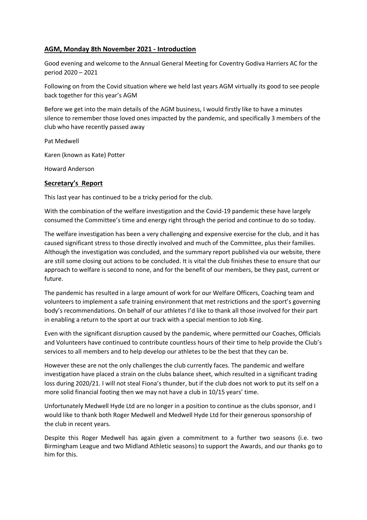# **AGM, Monday 8th November 2021 - Introduction**

Good evening and welcome to the Annual General Meeting for Coventry Godiva Harriers AC for the period 2020 – 2021

Following on from the Covid situation where we held last years AGM virtually its good to see people back together for this year's AGM

Before we get into the main details of the AGM business, I would firstly like to have a minutes silence to remember those loved ones impacted by the pandemic, and specifically 3 members of the club who have recently passed away

Pat Medwell

Karen (known as Kate) Potter

Howard Anderson

### **Secretary's Report**

This last year has continued to be a tricky period for the club.

With the combination of the welfare investigation and the Covid-19 pandemic these have largely consumed the Committee's time and energy right through the period and continue to do so today.

The welfare investigation has been a very challenging and expensive exercise for the club, and it has caused significant stress to those directly involved and much of the Committee, plus their families. Although the investigation was concluded, and the summary report published via our website, there are still some closing out actions to be concluded. It is vital the club finishes these to ensure that our approach to welfare is second to none, and for the benefit of our members, be they past, current or future.

The pandemic has resulted in a large amount of work for our Welfare Officers, Coaching team and volunteers to implement a safe training environment that met restrictions and the sport's governing body's recommendations. On behalf of our athletes I'd like to thank all those involved for their part in enabling a return to the sport at our track with a special mention to Job King.

Even with the significant disruption caused by the pandemic, where permitted our Coaches, Officials and Volunteers have continued to contribute countless hours of their time to help provide the Club's services to all members and to help develop our athletes to be the best that they can be.

However these are not the only challenges the club currently faces. The pandemic and welfare investigation have placed a strain on the clubs balance sheet, which resulted in a significant trading loss during 2020/21. I will not steal Fiona's thunder, but if the club does not work to put its self on a more solid financial footing then we may not have a club in 10/15 years' time.

Unfortunately Medwell Hyde Ltd are no longer in a position to continue as the clubs sponsor, and I would like to thank both Roger Medwell and Medwell Hyde Ltd for their generous sponsorship of the club in recent years.

Despite this Roger Medwell has again given a commitment to a further two seasons (i.e. two Birmingham League and two Midland Athletic seasons) to support the Awards, and our thanks go to him for this.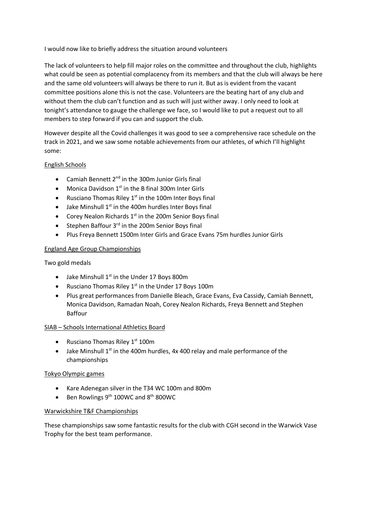I would now like to briefly address the situation around volunteers

The lack of volunteers to help fill major roles on the committee and throughout the club, highlights what could be seen as potential complacency from its members and that the club will always be here and the same old volunteers will always be there to run it. But as is evident from the vacant committee positions alone this is not the case. Volunteers are the beating hart of any club and without them the club can't function and as such will just wither away. I only need to look at tonight's attendance to gauge the challenge we face, so I would like to put a request out to all members to step forward if you can and support the club.

However despite all the Covid challenges it was good to see a comprehensive race schedule on the track in 2021, and we saw some notable achievements from our athletes, of which I'll highlight some:

## English Schools

- Camiah Bennett  $2^{nd}$  in the 300m Junior Girls final
- Monica Davidson  $1<sup>st</sup>$  in the B final 300m Inter Girls
- Rusciano Thomas Riley  $1<sup>st</sup>$  in the 100m Inter Boys final
- Jake Minshull  $1<sup>st</sup>$  in the 400m hurdles Inter Boys final
- Corey Nealon Richards  $1<sup>st</sup>$  in the 200m Senior Boys final
- Stephen Baffour 3<sup>rd</sup> in the 200m Senior Boys final
- Plus Freya Bennett 1500m Inter Girls and Grace Evans 75m hurdles Junior Girls

## England Age Group Championships

Two gold medals

- Jake Minshull  $1^{st}$  in the Under 17 Boys 800m
- Rusciano Thomas Riley  $1<sup>st</sup>$  in the Under 17 Boys 100m
- Plus great performances from Danielle Bleach, Grace Evans, Eva Cassidy, Camiah Bennett, Monica Davidson, Ramadan Noah, Corey Nealon Richards, Freya Bennett and Stephen Baffour

# SIAB – Schools International Athletics Board

- Rusciano Thomas Riley  $1<sup>st</sup> 100m$
- Jake Minshull  $1<sup>st</sup>$  in the 400m hurdles, 4x 400 relay and male performance of the championships

### Tokyo Olympic games

- Kare Adenegan silver in the T34 WC 100m and 800m
- Ben Rowlings 9<sup>th</sup> 100WC and 8<sup>th</sup> 800WC

### Warwickshire T&F Championships

These championships saw some fantastic results for the club with CGH second in the Warwick Vase Trophy for the best team performance.